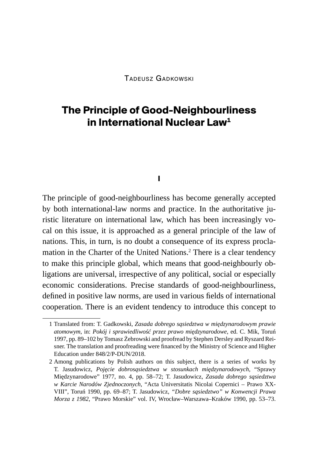Tadeusz Gadkowski

# **The Principle of Good-Neighbourliness in International Nuclear Law1**

**I**

The principle of good-neighbourliness has become generally accepted by both international-law norms and practice. In the authoritative juristic literature on international law, which has been increasingly vocal on this issue, it is approached as a general principle of the law of nations. This, in turn, is no doubt a consequence of its express proclamation in the Charter of the United Nations.2 There is a clear tendency to make this principle global, which means that good-neighbourly obligations are universal, irrespective of any political, social or especially economic considerations. Precise standards of good-neighbourliness, defined in positive law norms, are used in various fields of international cooperation. There is an evident tendency to introduce this concept to

<sup>1</sup> Translated from: T. Gadkowski, *Zasada dobrego sąsiedztwa w międzynarodowym prawie atomowym*, in: *Pokój i sprawiedliwość przez prawo międzynarodowe*, ed. C. Mik, Toruń 1997, pp. 89–102 by Tomasz Żebrowski and proofread by Stephen Dersley and Ryszard Reisner. The translation and proofreading were financed by the Ministry of Science and Higher Education under 848/2/P-DUN/2018.

<sup>2</sup> Among publications by Polish authors on this subject, there is a series of works by T. Jasudowicz, *Pojęcie dobrosąsiedztwa w stosunkach międzynarodowych*, "Sprawy Międzynarodowe" 1977, no. 4, pp. 58–72; T. Jasudowicz, *Zasada dobrego sąsiedztwa w Karcie Narodów Zjednoczonych*, "Acta Universitatis Nicolai Copernici – Prawo XX-VIII", Toruń 1990, pp. 69–87; T. Jasudowicz, *"Dobre sąsiedztwo" w Konwencji Prawa Morza z 1982*, "Prawo Morskie" vol. IV, Wrocław–Warszawa–Kraków 1990, pp. 53–73.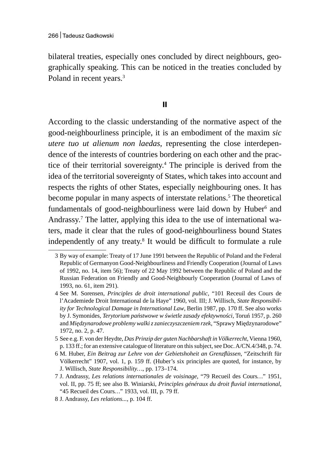bilateral treaties, especially ones concluded by direct neighbours, geographically speaking. This can be noticed in the treaties concluded by Poland in recent years.<sup>3</sup>

#### **II**

According to the classic understanding of the normative aspect of the good-neighbourliness principle, it is an embodiment of the maxim *sic utere tuo ut alienum non laedas*, representing the close interdependence of the interests of countries bordering on each other and the practice of their territorial sovereignty.<sup>4</sup> The principle is derived from the idea of the territorial sovereignty of States, which takes into account and respects the rights of other States, especially neighbouring ones. It has become popular in many aspects of interstate relations.<sup>5</sup> The theoretical fundamentals of good-neighbourliness were laid down by Huber<sup>6</sup> and Andrassy.7 The latter, applying this idea to the use of international waters, made it clear that the rules of good-neighbourliness bound States independently of any treaty.8 It would be difficult to formulate a rule

- 5 See e.g. F. von der Heydte, *Das Prinzip der guten Nachbarshaft in Völkerrecht*, Vienna 1960, p. 133 ff.; for an extensive catalogue of literature on this subject, see Doc. A/CN.4/348, p. 74.
- 6 M. Huber, *Ein Beitrag zur Lehre von der Gebietshoheit an Grenzflüssen*, "Zeitschrift für Völkerrecht" 1907, vol. 1, p. 159 ff. (Huber's six principles are quoted, for instance, by J. Willisch, *State Responsibility…*, pp. 173–174.

<sup>3</sup> By way of example: Treaty of 17 June 1991 between the Republic of Poland and the Federal Republic of Germanyon Good-Neighbourliness and Friendly Cooperation (Journal of Laws of 1992, no. 14, item 56); Treaty of 22 May 1992 between the Republic of Poland and the Russian Federation on Friendly and Good-Neighbourly Cooperation (Journal of Laws of 1993, no. 61, item 291).

<sup>4</sup> See M. Sorensen, *Principles de droit international public*, "101 Receuil des Cours de l'Academiede Droit International de la Haye" 1960, vol. III; J. Willisch, *State Responsibility for Technological Damage in International Law*, Berlin 1987, pp. 170 ff. See also works by J. Symonides, *Terytorium państwowe w świetle zasady efektywności*, Toruń 1957, p. 260 and *Międzynarodowe problemy walki zzanieczyszczeniem rzek*, "Sprawy Międzynarodowe" 1972, no. 2, p. 47.

<sup>7</sup> J. Andrassy, *Les relations internationales de voisinage*, "79 Recueil des Cours*…*" 1951, vol. II, pp. 75 ff; see also B. Winiarski, *Principles généraux du droit fluvial international*, "45 Recueil des Cours*…*" 1933, vol. III, p. 79 ff.

<sup>8</sup> J. Andrassy, *Les relations...*, p. 104 ff.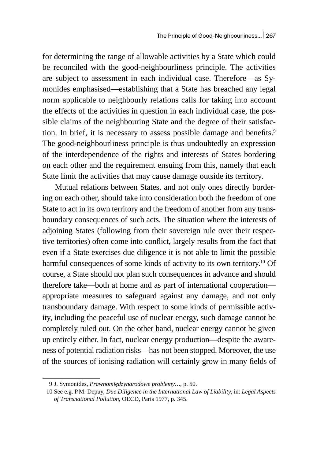for determining the range of allowable activities by a State which could be reconciled with the good-neighbourliness principle. The activities are subject to assessment in each individual case. Therefore—as Symonides emphasised—establishing that a State has breached any legal norm applicable to neighbourly relations calls for taking into account the effects of the activities in question in each individual case, the possible claims of the neighbouring State and the degree of their satisfaction. In brief, it is necessary to assess possible damage and benefits.<sup>9</sup> The good-neighbourliness principle is thus undoubtedly an expression of the interdependence of the rights and interests of States bordering on each other and the requirement ensuing from this, namely that each State limit the activities that may cause damage outside its territory.

Mutual relations between States, and not only ones directly bordering on each other, should take into consideration both the freedom of one State to act in its own territory and the freedom of another from any transboundary consequences of such acts. The situation where the interests of adjoining States (following from their sovereign rule over their respective territories) often come into conflict, largely results from the fact that even if a State exercises due diligence it is not able to limit the possible harmful consequences of some kinds of activity to its own territory.<sup>10</sup> Of course, a State should not plan such consequences in advance and should therefore take—both at home and as part of international cooperation appropriate measures to safeguard against any damage, and not only transboundary damage. With respect to some kinds of permissible activity, including the peaceful use of nuclear energy, such damage cannot be completely ruled out. On the other hand, nuclear energy cannot be given up entirely either. In fact, nuclear energy production—despite the awareness of potential radiation risks—has not been stopped. Moreover, the use of the sources of ionising radiation will certainly grow in many fields of

<sup>9</sup> J. Symonides, *Prawnomiędzynarodowe problemy…*, p. 50.

<sup>10</sup> See e.g. P.M. Depuy, *Due Diligence in the International Law of Liability*, in: *Legal Aspects of Transnational Pollution*, OECD, Paris 1977, p. 345.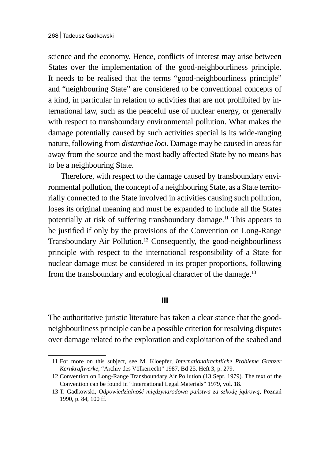science and the economy. Hence, conflicts of interest may arise between States over the implementation of the good-neighbourliness principle. It needs to be realised that the terms "good-neighbourliness principle" and "neighbouring State" are considered to be conventional concepts of a kind, in particular in relation to activities that are not prohibited by international law, such as the peaceful use of nuclear energy, or generally with respect to transboundary environmental pollution. What makes the damage potentially caused by such activities special is its wide-ranging nature, following from *distantiae loci*. Damage may be caused in areas far away from the source and the most badly affected State by no means has to be a neighbouring State.

Therefore, with respect to the damage caused by transboundary environmental pollution, the concept of a neighbouring State, as a State territorially connected to the State involved in activities causing such pollution, loses its original meaning and must be expanded to include all the States potentially at risk of suffering transboundary damage.<sup>11</sup> This appears to be justified if only by the provisions of the Convention on Long-Range Transboundary Air Pollution.12 Consequently, the good-neighbourliness principle with respect to the international responsibility of a State for nuclear damage must be considered in its proper proportions, following from the transboundary and ecological character of the damage.<sup>13</sup>

#### **III**

The authoritative juristic literature has taken a clear stance that the goodneighbourliness principle can be a possible criterion for resolving disputes over damage related to the exploration and exploitation of the seabed and

<sup>11</sup> For more on this subject, see M. Kloepfer, *Internationalrechtliche Probleme Grenzer Kernkraftwerke*, "Archiv des Völkerrecht" 1987, Bd 25. Heft 3, p. 279.

<sup>12</sup> Convention on Long-Range Transboundary Air Pollution (13 Sept. 1979). The text of the Convention can be found in "International Legal Materials" 1979, vol. 18.

<sup>13</sup> T. Gadkowski, *Odpowiedzialność międzynarodowa państwa za szkodę jądrową*, Poznań 1990, p. 84, 100 ff.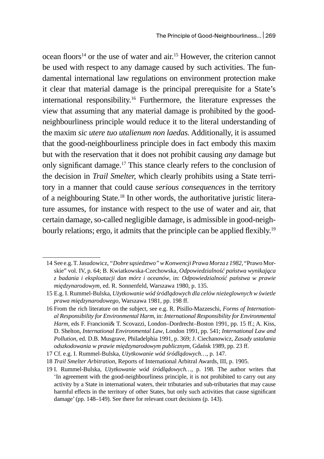ocean floors<sup>14</sup> or the use of water and air.<sup>15</sup> However, the criterion cannot be used with respect to any damage caused by such activities. The fundamental international law regulations on environment protection make it clear that material damage is the principal prerequisite for a State's international responsibility.16 Furthermore, the literature expresses the view that assuming that any material damage is prohibited by the goodneighbourliness principle would reduce it to the literal understanding of the maxim *sic utere tuo utalienum non laedas.* Additionally, it is assumed that the good-neighbourliness principle does in fact embody this maxim but with the reservation that it does not prohibit causing *any* damage but only significant damage.17 This stance clearly refers to the conclusion of the decision in *Trail Smelter,* which clearly prohibits using a State territory in a manner that could cause *serious consequences* in the territory of a neighbouring State.18 In other words, the authoritative juristic literature assumes, for instance with respect to the use of water and air, that certain damage, so-called negligible damage, is admissible in good-neighbourly relations; ergo, it admits that the principle can be applied flexibly.<sup>19</sup>

<sup>14</sup> See e.g. T.Jasudowicz, *"Dobre sąsiedztwo" wKonwencji Prawa Morza z 1982*, "Prawo Morskie" vol. IV, p. 64; B. Kwiatkowska-Czechowska, *Odpowiedzialność państwa wynikająca z badania i eksploatacji dan mórz i oceanów*, in: *Odpowiedzialność państwa w prawie międzynarodowym*, ed. R. Sonnenfeld, Warszawa 1980, p. 135.

<sup>15</sup> E.g. I. Rummel-Bulska, *Użytkowanie wód śródlądowych dla celów nieżeglownych w świetle prawa międzynarodowego*, Warszawa 1981, pp. 198 ff.

<sup>16</sup> From the rich literature on the subject, see e.g. R. Pisillo-Mazzeschi, *Forms of International Responsibility for Environmental Harm*, in: *International Responsibility for Environmental Harm*, eds F. Francioni& T. Scovazzi, London–Dordrecht–Boston 1991, pp. 15 ff.; A. Kiss, D. Shelton, *International Environmental Law*, London 1991, pp. 541; *International Law and Pollution*, ed. D.B. Musgrave, Philadelphia 1991, p. 369; J. Ciechanowicz, *Zasady ustalania odszkodowania w prawie międzynarodowym publicznym*, Gdańsk 1989, pp. 23 ff.

<sup>17</sup> Cf. e.g. I. Rummel-Bulska, *Użytkowanie wód śródlądowych…*, p. 147.

<sup>18</sup> *Trail Smelter Arbitration*, Reports of International Arbitral Awards, III, p. 1905.

<sup>19</sup> I. Rummel-Bulska, *Użytkowanie wód śródlądowych…*, p. 198. The author writes that 'In agreement with the good-neighbourliness principle, it is not prohibited to carry out any activity by a State in international waters, their tributaries and sub-tributaries that may cause harmful effects in the territory of other States, but only such activities that cause significant damage' (pp. 148–149). See there for relevant court decisions (p. 143).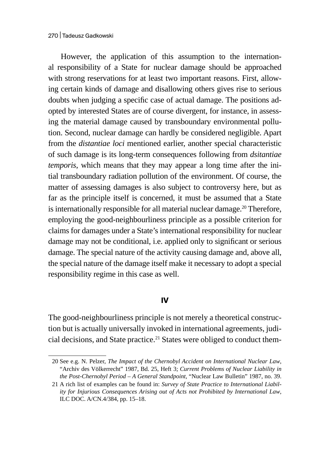However, the application of this assumption to the international responsibility of a State for nuclear damage should be approached with strong reservations for at least two important reasons. First, allowing certain kinds of damage and disallowing others gives rise to serious doubts when judging a specific case of actual damage. The positions adopted by interested States are of course divergent, for instance, in assessing the material damage caused by transboundary environmental pollution. Second, nuclear damage can hardly be considered negligible. Apart from the *distantiae loci* mentioned earlier, another special characteristic of such damage is its long-term consequences following from *dsitantiae temporis*, which means that they may appear a long time after the initial transboundary radiation pollution of the environment. Of course, the matter of assessing damages is also subject to controversy here, but as far as the principle itself is concerned, it must be assumed that a State is internationally responsible for all material nuclear damage.<sup>20</sup> Therefore, employing the good-neighbourliness principle as a possible criterion for claims for damages under a State's international responsibility for nuclear damage may not be conditional, i.e. applied only to significant or serious damage. The special nature of the activity causing damage and, above all, the special nature of the damage itself make it necessary to adopt a special responsibility regime in this case as well.

#### **IV**

The good-neighbourliness principle is not merely a theoretical construction but is actually universally invoked in international agreements, judicial decisions, and State practice.<sup>21</sup> States were obliged to conduct them-

<sup>20</sup> See e.g. N. Pelzer, *The Impact of the Chernobyl Accident on International Nuclear Law*, "Archiv des Völkerrecht" 1987, Bd. 25, Heft 3; *Current Problems of Nuclear Liability in the Post-Chernobyl Period – A General Standpoint*, "Nuclear Law Bulletin" 1987, no. 39.

<sup>21</sup> A rich list of examples can be found in: *Survey of State Practice to International Liability for Injurious Consequences Arising out of Acts not Prohibited by International Law*, ILC DOC. A/CN.4/384, pp. 15–18.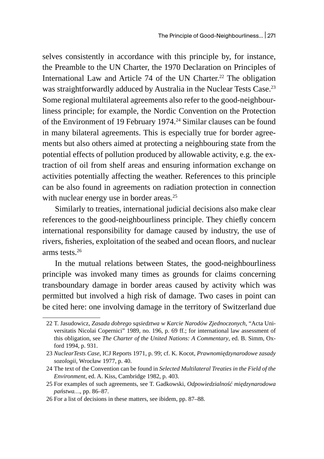selves consistently in accordance with this principle by, for instance, the Preamble to the UN Charter, the 1970 Declaration on Principles of International Law and Article 74 of the UN Charter.<sup>22</sup> The obligation was straightforwardly adduced by Australia in the Nuclear Tests Case.<sup>23</sup> Some regional multilateral agreements also refer to the good-neighbourliness principle; for example, the Nordic Convention on the Protection of the Environment of 19 February 1974.<sup>24</sup> Similar clauses can be found in many bilateral agreements. This is especially true for border agreements but also others aimed at protecting a neighbouring state from the potential effects of pollution produced by allowable activity, e.g. the extraction of oil from shelf areas and ensuring information exchange on activities potentially affecting the weather. References to this principle can be also found in agreements on radiation protection in connection with nuclear energy use in border areas.<sup>25</sup>

Similarly to treaties, international judicial decisions also make clear references to the good-neighbourliness principle. They chiefly concern international responsibility for damage caused by industry, the use of rivers, fisheries, exploitation of the seabed and ocean floors, and nuclear arms tests.<sup>26</sup>

In the mutual relations between States, the good-neighbourliness principle was invoked many times as grounds for claims concerning transboundary damage in border areas caused by activity which was permitted but involved a high risk of damage. Two cases in point can be cited here: one involving damage in the territory of Switzerland due

<sup>22</sup> T. Jasudowicz, *Zasada dobrego sąsiedztwa w Karcie Narodów Zjednoczonych*, "Acta Universitatis Nicolai Copernici" 1989, no. 196, p. 69 ff.; for international law assessment of this obligation, see *The Charter of the United Nations: A Commentary*, ed. B. Simm, Oxford 1994, p. 931.

<sup>23</sup> *NuclearTests Case*, ICJ Reports 1971, p. 99; cf. K. Kocot, *Prawnomiędzynarodowe zasady sozologii*, Wrocław 1977, p. 40.

<sup>24</sup> The text of the Convention can be found in *Selected Multilateral Treaties in the Field of the Environment*, ed. A. Kiss, Cambridge 1982, p. 403.

<sup>25</sup> For examples of such agreements, see T. Gadkowski, *Odpowiedzialność międzynarodowa państwa…*, pp. 86–87.

<sup>26</sup> For a list of decisions in these matters, see ibidem, pp. 87–88.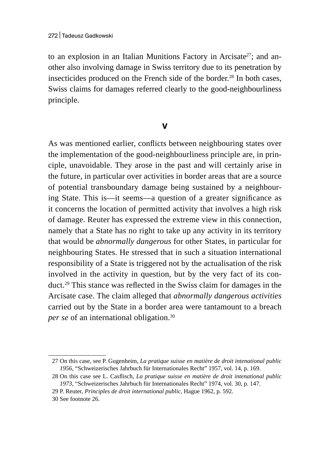to an explosion in an Italian Munitions Factory in Arcisate<sup>27</sup>; and another also involving damage in Swiss territory due to its penetration by insecticides produced on the French side of the border. $^{28}$  In both cases, Swiss claims for damages referred clearly to the good-neighbourliness principle.

### **V**

As was mentioned earlier, conflicts between neighbouring states over the implementation of the good-neighbourliness principle are, in principle, unavoidable. They arose in the past and will certainly arise in the future, in particular over activities in border areas that are a source of potential transboundary damage being sustained by a neighbouring State. This is—it seems—a question of a greater significance as it concerns the location of permitted activity that involves a high risk of damage. Reuter has expressed the extreme view in this connection, namely that a State has no right to take up any activity in its territory that would be *abnormally dangerous* for other States, in particular for neighbouring States. He stressed that in such a situation international responsibility of a State is triggered not by the actualisation of the risk involved in the activity in question, but by the very fact of its conduct.<sup>29</sup> This stance was reflected in the Swiss claim for damages in the Arcisate case. The claim alleged that *abnormally dangerous activities* carried out by the State in a border area were tantamount to a breach *per se* of an international obligation.<sup>30</sup>

<sup>27</sup> On this case, see P. Gugenheim, *La pratique suisse en matière de droit intenational public 1956*, "Schweizerisches Jahrbuch für Internationales Recht" 1957, vol. 14, p. 169.

<sup>28</sup> On this case see L. Casflisch, *La pratique suisse en matière de droit intenational public 1973*, "Schweizerisches Jahrbuch für Internationales Recht" 1974, vol. 30, p. 147.

<sup>29</sup> P. Reuter, *Principles de droit international public*, Hague 1962, p. 592.

<sup>30</sup> See footnote 26.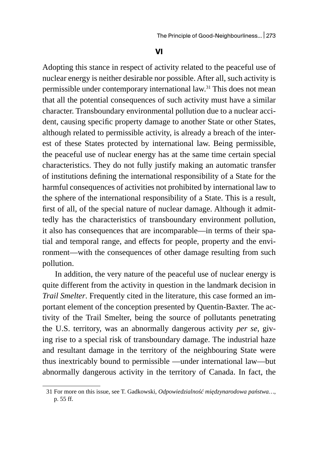#### **VI**

Adopting this stance in respect of activity related to the peaceful use of nuclear energy is neither desirable nor possible. After all, such activity is permissible under contemporary international law.<sup>31</sup> This does not mean that all the potential consequences of such activity must have a similar character. Transboundary environmental pollution due to a nuclear accident, causing specific property damage to another State or other States, although related to permissible activity, is already a breach of the interest of these States protected by international law. Being permissible, the peaceful use of nuclear energy has at the same time certain special characteristics. They do not fully justify making an automatic transfer of institutions defining the international responsibility of a State for the harmful consequences of activities not prohibited by international law to the sphere of the international responsibility of a State. This is a result, first of all, of the special nature of nuclear damage. Although it admittedly has the characteristics of transboundary environment pollution, it also has consequences that are incomparable—in terms of their spatial and temporal range, and effects for people, property and the environment—with the consequences of other damage resulting from such pollution.

In addition, the very nature of the peaceful use of nuclear energy is quite different from the activity in question in the landmark decision in *Trail Smelter*. Frequently cited in the literature, this case formed an important element of the conception presented by Quentin-Baxter. The activity of the Trail Smelter, being the source of pollutants penetrating the U.S. territory, was an abnormally dangerous activity *per se*, giving rise to a special risk of transboundary damage. The industrial haze and resultant damage in the territory of the neighbouring State were thus inextricably bound to permissible —under international law—but abnormally dangerous activity in the territory of Canada. In fact, the

<sup>31</sup> For more on this issue, see T. Gadkowski, *Odpowiedzialność międzynarodowa państwa…*, p. 55 ff.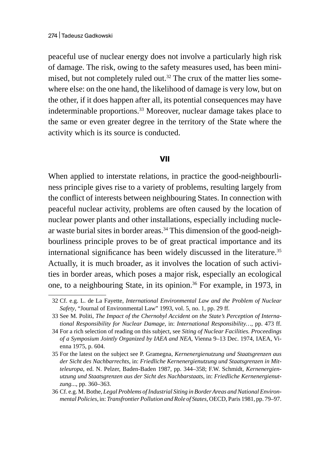peaceful use of nuclear energy does not involve a particularly high risk of damage. The risk, owing to the safety measures used, has been minimised, but not completely ruled out.<sup>32</sup> The crux of the matter lies somewhere else: on the one hand, the likelihood of damage is very low, but on the other, if it does happen after all, its potential consequences may have indeterminable proportions.<sup>33</sup> Moreover, nuclear damage takes place to the same or even greater degree in the territory of the State where the activity which is its source is conducted.

#### **VII**

When applied to interstate relations, in practice the good-neighbourliness principle gives rise to a variety of problems, resulting largely from the conflict of interests between neighbouring States. In connection with peaceful nuclear activity, problems are often caused by the location of nuclear power plants and other installations, especially including nuclear waste burial sites in border areas. $34$  This dimension of the good-neighbourliness principle proves to be of great practical importance and its international significance has been widely discussed in the literature.<sup>35</sup> Actually, it is much broader, as it involves the location of such activities in border areas, which poses a major risk, especially an ecological one, to a neighbouring State, in its opinion.36 For example, in 1973, in

<sup>32</sup> Cf. e.g. L. de La Fayette, *International Environmental Law and the Problem of Nuclear Safety*, "Journal of Environmental Law" 1993, vol. 5, no. 1, pp. 29 ff.

<sup>33</sup> See M. Politi, *The Impact of the Chernobyl Accident on the State's Perception of International Responsibility for Nuclear Damage*, in: *International Responsibility…*, pp. 473 ff.

<sup>34</sup> For a rich selection of reading on this subject, see *Siting of Nuclear Facilities. Proceedings of a Symposium Jointly Organized by IAEA and NEA*, Vienna 9–13 Dec. 1974, IAEA, Vienna 1975, p. 604.

<sup>35</sup> For the latest on the subject see P. Gramegna, *Kernenergienutzung und Staatsgrenzen aus der Sicht des Nachbarrechts*, in: *Friedliche Kernenergienutzung und Staatsgrenzen in Mitteleuropa*, ed. N. Pelzer, Baden-Baden 1987, pp. 344–358; F.W. Schmidt, *Kernenergienutzung und Staatsgrenzen aus der Sicht des Nachbarstaats*, in: *Friedliche Kernenergienutzung..*., pp. 360–363.

<sup>36</sup> Cf. e.g. M.Bothe, *Legal Problems of Industrial Siting in Border Areas and National Environmental Policies*, in: *Transfrontier Pollution and Role of States*, OECD, Paris 1981, pp. 79–97.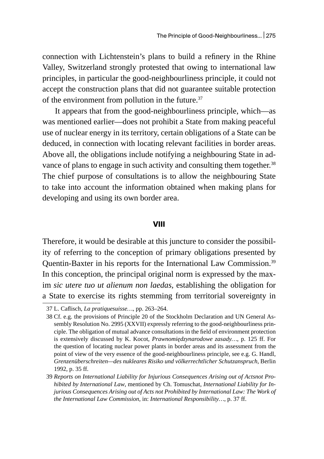connection with Lichtenstein's plans to build a refinery in the Rhine Valley, Switzerland strongly protested that owing to international law principles, in particular the good-neighbourliness principle, it could not accept the construction plans that did not guarantee suitable protection of the environment from pollution in the future.<sup>37</sup>

It appears that from the good-neighbourliness principle, which—as was mentioned earlier—does not prohibit a State from making peaceful use of nuclear energy in its territory, certain obligations of a State can be deduced, in connection with locating relevant facilities in border areas. Above all, the obligations include notifying a neighbouring State in advance of plans to engage in such activity and consulting them together.<sup>38</sup> The chief purpose of consultations is to allow the neighbouring State to take into account the information obtained when making plans for developing and using its own border area.

#### **VIII**

Therefore, it would be desirable at this juncture to consider the possibility of referring to the conception of primary obligations presented by Quentin-Baxter in his reports for the International Law Commission.39 In this conception, the principal original norm is expressed by the maxim *sic utere tuo ut alienum non laedas,* establishing the obligation for a State to exercise its rights stemming from territorial sovereignty in

<sup>37</sup> L. Caflisch, *La pratiquesuisse…*, pp. 263–264.

<sup>38</sup> Cf. e.g. the provisions of Principle 20 of the Stockholm Declaration and UN General Assembly Resolution No. 2995 (XXVII) expressly referring to the good-neighbourliness principle. The obligation of mutual advance consultations in the field of environment protection is extensively discussed by K. Kocot, *Prawnomiędzynarodowe zasady…*, p. 125 ff. For the question of locating nuclear power plants in border areas and its assessment from the point of view of the very essence of the good-neighbourliness principle, see e.g. G. Handl, *Grenzenüberschreiten—des nukleares Risiko und völkerrechtlicher Schutzanspruch*, Berlin 1992, p. 35 ff.

<sup>39</sup> *Reports on International Liability for Injurious Consequences Arising out of Actsnot Prohibited by International Law*, mentioned by Ch. Tomuschat, *International Liability for Injurious Consequences Arising out of Acts not Prohibited by International Law: The Work of the International Law Commission*, in: *International Responsibility…*, p. 37 ff.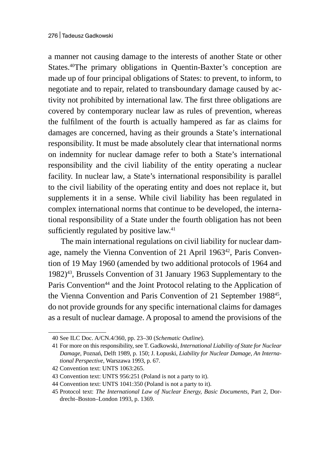a manner not causing damage to the interests of another State or other States.<sup>40</sup>The primary obligations in Quentin-Baxter's conception are made up of four principal obligations of States: to prevent, to inform, to negotiate and to repair, related to transboundary damage caused by activity not prohibited by international law. The first three obligations are covered by contemporary nuclear law as rules of prevention, whereas the fulfilment of the fourth is actually hampered as far as claims for damages are concerned, having as their grounds a State's international responsibility. It must be made absolutely clear that international norms on indemnity for nuclear damage refer to both a State's international responsibility and the civil liability of the entity operating a nuclear facility. In nuclear law, a State's international responsibility is parallel to the civil liability of the operating entity and does not replace it, but supplements it in a sense. While civil liability has been regulated in complex international norms that continue to be developed, the international responsibility of a State under the fourth obligation has not been sufficiently regulated by positive law.<sup>41</sup>

The main international regulations on civil liability for nuclear damage, namely the Vienna Convention of 21 April 1963<sup>42</sup>, Paris Convention of 19 May 1960 (amended by two additional protocols of 1964 and 1982)<sup>43</sup>, Brussels Convention of 31 January 1963 Supplementary to the Paris Convention<sup>44</sup> and the Joint Protocol relating to the Application of the Vienna Convention and Paris Convention of 21 September 1988<sup>45</sup>, do not provide grounds for any specific international claims for damages as a result of nuclear damage. A proposal to amend the provisions of the

<sup>40</sup> See ILC Doc. A/CN.4/360, pp. 23–30 (*Schematic Outline*).

<sup>41</sup> For more on this responsibility, see T. Gadkowski, *International Liability of State for Nuclear Damage*, Poznań, Delft 1989, p. 150; J. Łopuski, *Liability for Nuclear Damage, An International Perspective*, Warszawa 1993, p. 67.

<sup>42</sup> Convention text: UNTS 1063:265.

<sup>43</sup> Convention text: UNTS 956:251 (Poland is not a party to it).

<sup>44</sup> Convention text: UNTS 1041:350 (Poland is not a party to it).

<sup>45</sup> Protocol text: *The International Law of Nuclear Energy, Basic Documents*, Part 2, Dordrecht–Boston–London 1993, p. 1369.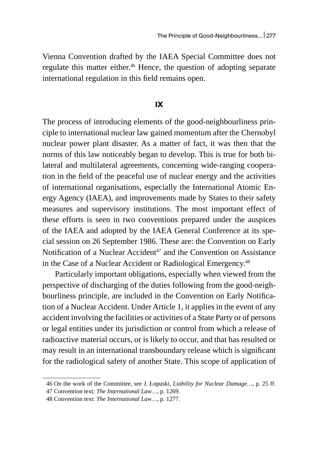Vienna Convention drafted by the IAEA Special Committee does not regulate this matter either.<sup>46</sup> Hence, the question of adopting separate international regulation in this field remains open.

#### **IX**

The process of introducing elements of the good-neighbourliness principle to international nuclear law gained momentum after the Chernobyl nuclear power plant disaster. As a matter of fact, it was then that the norms of this law noticeably began to develop. This is true for both bilateral and multilateral agreements, concerning wide-ranging cooperation in the field of the peaceful use of nuclear energy and the activities of international organisations, especially the International Atomic Energy Agency (IAEA), and improvements made by States to their safety measures and supervisory institutions. The most important effect of these efforts is seen in two conventions prepared under the auspices of the IAEA and adopted by the IAEA General Conference at its special session on 26 September 1986. These are: the Convention on Early Notification of a Nuclear Accident<sup>47</sup> and the Convention on Assistance in the Case of a Nuclear Accident or Radiological Emergency.<sup>48</sup>

Particularly important obligations, especially when viewed from the perspective of discharging of the duties following from the good-neighbourliness principle, are included in the Convention on Early Notification of a Nuclear Accident. Under Article 1, it applies in the event of any accident involving the facilities or activities of a State Party or of persons or legal entities under its jurisdiction or control from which a release of radioactive material occurs, or is likely to occur, and that has resulted or may result in an international transboundary release which is significant for the radiological safety of another State. This scope of application of

<sup>46</sup> On the work of the Committee, see J. Łopuski, *Liability for Nuclear Damage…*, p. 25 ff.

<sup>47</sup> Convention text: *The International Law…*, p. 1269.

<sup>48</sup> Convention text: *The International Law…*, p. 1277.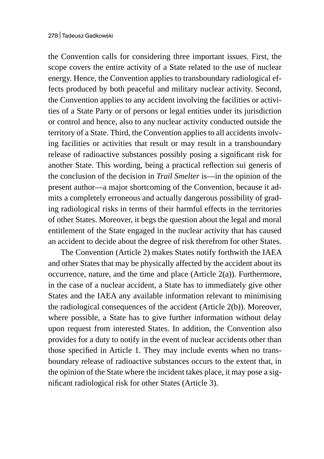the Convention calls for considering three important issues. First, the scope covers the entire activity of a State related to the use of nuclear energy. Hence, the Convention applies to transboundary radiological effects produced by both peaceful and military nuclear activity. Second, the Convention applies to any accident involving the facilities or activities of a State Party or of persons or legal entities under its jurisdiction or control and hence, also to any nuclear activity conducted outside the territory of a State. Third, the Convention applies to all accidents involving facilities or activities that result or may result in a transboundary release of radioactive substances possibly posing a significant risk for another State. This wording, being a practical reflection sui generis of the conclusion of the decision in *Trail Smelter* is—in the opinion of the present author—a major shortcoming of the Convention, because it admits a completely erroneous and actually dangerous possibility of grading radiological risks in terms of their harmful effects in the territories of other States. Moreover, it begs the question about the legal and moral entitlement of the State engaged in the nuclear activity that has caused an accident to decide about the degree of risk therefrom for other States.

The Convention (Article 2) makes States notify forthwith the IAEA and other States that may be physically affected by the accident about its occurrence, nature, and the time and place (Article 2(a)). Furthermore, in the case of a nuclear accident, a State has to immediately give other States and the IAEA any available information relevant to minimising the radiological consequences of the accident (Article 2(b)). Moreover, where possible, a State has to give further information without delay upon request from interested States. In addition, the Convention also provides for a duty to notify in the event of nuclear accidents other than those specified in Article 1. They may include events when no transboundary release of radioactive substances occurs to the extent that, in the opinion of the State where the incident takes place, it may pose a significant radiological risk for other States (Article 3).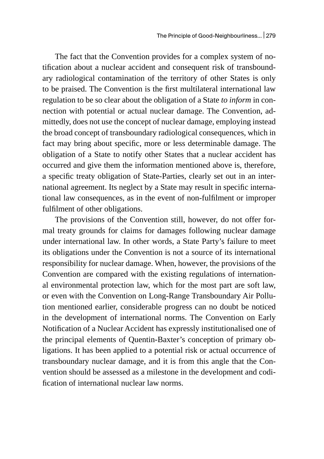The fact that the Convention provides for a complex system of notification about a nuclear accident and consequent risk of transboundary radiological contamination of the territory of other States is only to be praised. The Convention is the first multilateral international law regulation to be so clear about the obligation of a State *to inform* in connection with potential or actual nuclear damage. The Convention, admittedly, does not use the concept of nuclear damage, employing instead the broad concept of transboundary radiological consequences, which in fact may bring about specific, more or less determinable damage. The obligation of a State to notify other States that a nuclear accident has occurred and give them the information mentioned above is, therefore, a specific treaty obligation of State-Parties, clearly set out in an international agreement. Its neglect by a State may result in specific international law consequences, as in the event of non-fulfilment or improper fulfilment of other obligations.

The provisions of the Convention still, however, do not offer formal treaty grounds for claims for damages following nuclear damage under international law. In other words, a State Party's failure to meet its obligations under the Convention is not a source of its international responsibility for nuclear damage. When, however, the provisions of the Convention are compared with the existing regulations of international environmental protection law, which for the most part are soft law, or even with the Convention on Long-Range Transboundary Air Pollution mentioned earlier, considerable progress can no doubt be noticed in the development of international norms. The Convention on Early Notification of a Nuclear Accident has expressly institutionalised one of the principal elements of Quentin-Baxter's conception of primary obligations. It has been applied to a potential risk or actual occurrence of transboundary nuclear damage, and it is from this angle that the Convention should be assessed as a milestone in the development and codification of international nuclear law norms.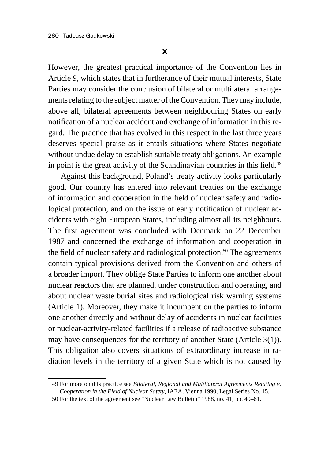However, the greatest practical importance of the Convention lies in Article 9, which states that in furtherance of their mutual interests, State Parties may consider the conclusion of bilateral or multilateral arrangements relating to the subject matter of the Convention. They may include, above all, bilateral agreements between neighbouring States on early notification of a nuclear accident and exchange of information in this regard. The practice that has evolved in this respect in the last three years deserves special praise as it entails situations where States negotiate without undue delay to establish suitable treaty obligations. An example in point is the great activity of the Scandinavian countries in this field.<sup>49</sup>

Against this background, Poland's treaty activity looks particularly good. Our country has entered into relevant treaties on the exchange of information and cooperation in the field of nuclear safety and radiological protection, and on the issue of early notification of nuclear accidents with eight European States, including almost all its neighbours. The first agreement was concluded with Denmark on 22 December 1987 and concerned the exchange of information and cooperation in the field of nuclear safety and radiological protection.<sup>50</sup> The agreements contain typical provisions derived from the Convention and others of a broader import. They oblige State Parties to inform one another about nuclear reactors that are planned, under construction and operating, and about nuclear waste burial sites and radiological risk warning systems (Article 1). Moreover, they make it incumbent on the parties to inform one another directly and without delay of accidents in nuclear facilities or nuclear-activity-related facilities if a release of radioactive substance may have consequences for the territory of another State (Article 3(1)). This obligation also covers situations of extraordinary increase in radiation levels in the territory of a given State which is not caused by

<sup>49</sup> For more on this practice see *Bilateral, Regional and Multilateral Agreements Relating to Cooperation in the Field of Nuclear Safety*, IAEA, Vienna 1990, Legal Series No. 15.

<sup>50</sup> For the text of the agreement see "Nuclear Law Bulletin" 1988, no. 41, pp. 49–61.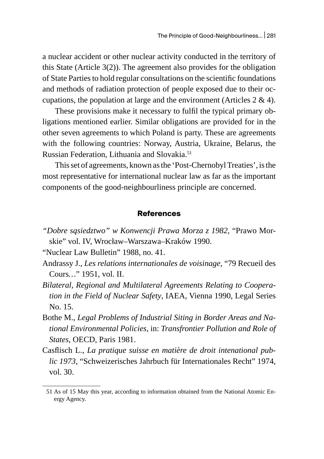a nuclear accident or other nuclear activity conducted in the territory of this State (Article 3(2)). The agreement also provides for the obligation of State Parties to hold regular consultations on the scientific foundations and methods of radiation protection of people exposed due to their occupations, the population at large and the environment (Articles 2 & 4).

These provisions make it necessary to fulfil the typical primary obligations mentioned earlier. Similar obligations are provided for in the other seven agreements to which Poland is party. These are agreements with the following countries: Norway, Austria, Ukraine, Belarus, the Russian Federation, Lithuania and Slovakia.51

This set of agreements, known as the 'Post-Chernobyl Treaties', is the most representative for international nuclear law as far as the important components of the good-neighbourliness principle are concerned.

#### **References**

*"Dobre sąsiedztwo" w Konwencji Prawa Morza z 1982*, "Prawo Morskie" vol. IV, Wrocław–Warszawa–Kraków 1990.

"Nuclear Law Bulletin" 1988, no. 41.

- Andrassy J., *Les relations internationales de voisinage*, "79 Recueil des Cours*…*" 1951, vol. II.
- *Bilateral, Regional and Multilateral Agreements Relating to Cooperation in the Field of Nuclear Safety*, IAEA, Vienna 1990, Legal Series No. 15.
- Bothe M., *Legal Problems of Industrial Siting in Border Areas and National Environmental Policies*, in: *Transfrontier Pollution and Role of States*, OECD, Paris 1981.
- Casflisch L., *La pratique suisse en matière de droit intenational public 1973*, "Schweizerisches Jahrbuch für Internationales Recht" 1974, vol. 30.

<sup>51</sup> As of 15 May this year, according to information obtained from the National Atomic Energy Agency.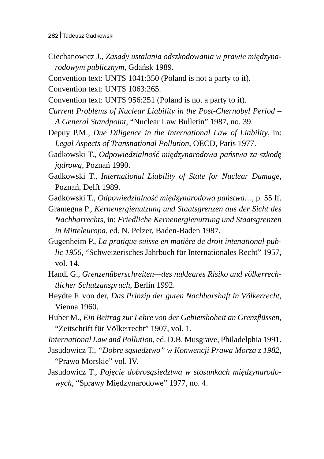Ciechanowicz J., *Zasady ustalania odszkodowania w prawie międzynarodowym publicznym*, Gdańsk 1989.

Convention text: UNTS 1041:350 (Poland is not a party to it).

Convention text: UNTS 1063:265.

Convention text: UNTS 956:251 (Poland is not a party to it).

*Current Problems of Nuclear Liability in the Post-Chernobyl Period – A General Standpoint*, "Nuclear Law Bulletin" 1987, no. 39.

Depuy P.M., *Due Diligence in the International Law of Liability*, in: *Legal Aspects of Transnational Pollution*, OECD, Paris 1977.

Gadkowski T., *Odpowiedzialność międzynarodowa państwa za szkodę jądrową*, Poznań 1990.

Gadkowski T., *International Liability of State for Nuclear Damage*, Poznań, Delft 1989.

Gadkowski T., *Odpowiedzialność międzynarodowa państwa…*, p. 55 ff.

Gramegna P., *Kernenergienutzung und Staatsgrenzen aus der Sicht des Nachbarrechts*, in: *Friedliche Kernenergienutzung und Staatsgrenzen in Mitteleuropa*, ed. N. Pelzer, Baden-Baden 1987.

Gugenheim P., *La pratique suisse en matière de droit intenational public 1956*, "Schweizerisches Jahrbuch für Internationales Recht" 1957, vol. 14.

Handl G., *Grenzenüberschreiten—des nukleares Risiko und völkerrechtlicher Schutzanspruch*, Berlin 1992.

Heydte F. von der, *Das Prinzip der guten Nachbarshaft in Völkerrecht*, Vienna 1960.

Huber M., *Ein Beitrag zur Lehre von der Gebietshoheit an Grenzflüssen*, "Zeitschrift für Völkerrecht" 1907, vol. 1.

*International Law and Pollution*, ed. D.B. Musgrave, Philadelphia 1991.

Jasudowicz T., *"Dobre sąsiedztwo" w Konwencji Prawa Morza z 1982*, "Prawo Morskie" vol. IV.

Jasudowicz T., *Pojęcie dobrosąsiedztwa w stosunkach międzynarodowych*, "Sprawy Międzynarodowe" 1977, no. 4.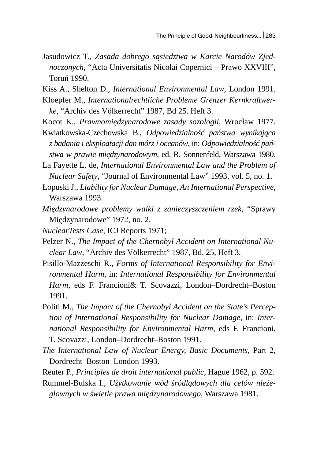Jasudowicz T., *Zasada dobrego sąsiedztwa w Karcie Narodów Zjednoczonych*, "Acta Universitatis Nicolai Copernici – Prawo XXVIII", Toruń 1990.

Kiss A., Shelton D., *International Environmental Law*, London 1991.

- Kloepfer M., *Internationalrechtliche Probleme Grenzer Kernkraftwerke*, "Archiv des Völkerrecht" 1987, Bd 25. Heft 3.
- Kocot K., *Prawnomiędzynarodowe zasady sozologii*, Wrocław 1977. Kwiatkowska-Czechowska B., *Odpowiedzialność państwa wynikająca*
- *z badania i eksploatacji dan mórz i oceanów*, in: *Odpowiedzialność państwa w prawie międzynarodowym*, ed. R. Sonnenfeld, Warszawa 1980.

La Fayette L. de, *International Environmental Law and the Problem of Nuclear Safety*, "Journal of Environmental Law" 1993, vol. 5, no. 1.

- Łopuski J., *Liability for Nuclear Damage, An International Perspective*, Warszawa 1993.
- *Międzynarodowe problemy walki z zanieczyszczeniem rzek*, "Sprawy Międzynarodowe" 1972, no. 2.
- *NuclearTests Case*, ICJ Reports 1971;
- Pelzer N., *The Impact of the Chernobyl Accident on International Nuclear Law*, "Archiv des Völkerrecht" 1987, Bd. 25, Heft 3.
- Pisillo-Mazzeschi R., *Forms of International Responsibility for Environmental Harm*, in: *International Responsibility for Environmental Harm*, eds F. Francioni& T. Scovazzi, London–Dordrecht–Boston 1991.
- Politi M., *The Impact of the Chernobyl Accident on the State's Perception of International Responsibility for Nuclear Damage*, in: *International Responsibility for Environmental Harm*, eds F. Francioni, T. Scovazzi, London–Dordrecht–Boston 1991.
- *The International Law of Nuclear Energy, Basic Documents*, Part 2, Dordrecht–Boston–London 1993.
- Reuter P., *Principles de droit international public*, Hague 1962, p. 592.

Rummel-Bulska I., *Użytkowanie wód śródlądowych dla celów nieżeglownych w świetle prawa międzynarodowego*, Warszawa 1981.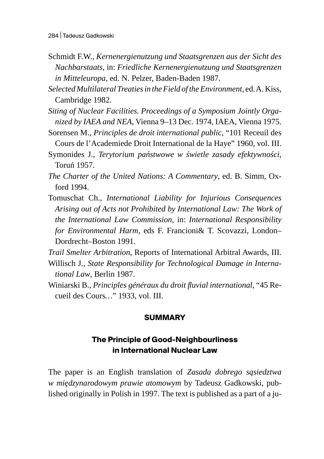- Schmidt F.W., *Kernenergienutzung und Staatsgrenzen aus der Sicht des Nachbarstaats*, in: *Friedliche Kernenergienutzung und Staatsgrenzen in Mitteleuropa*, ed. N. Pelzer, Baden-Baden 1987.
- *Selected Multilateral Treaties in the Field of the Environment*, ed. A. Kiss, Cambridge 1982.
- *Siting of Nuclear Facilities. Proceedings of a Symposium Jointly Organized by IAEA and NEA*, Vienna 9–13 Dec. 1974, IAEA, Vienna 1975.
- Sorensen M., *Principles de droit international public*, "101 Receuil des Cours de l'Academiede Droit International de la Haye" 1960, vol. III.
- Symonides J., *Terytorium państwowe w świetle zasady efektywności*, Toruń 1957.
- *The Charter of the United Nations: A Commentary*, ed. B. Simm, Oxford 1994.
- Tomuschat Ch., *International Liability for Injurious Consequences Arising out of Acts not Prohibited by International Law: The Work of the International Law Commission*, in: *International Responsibility for Environmental Harm*, eds F. Francioni& T. Scovazzi, London– Dordrecht–Boston 1991.
- *Trail Smelter Arbitration*, Reports of International Arbitral Awards, III. Willisch J., *State Responsibility for Technological Damage in International Law*, Berlin 1987.
- Winiarski B., *Principles généraux du droit fluvial international*, "45 Recueil des Cours*…*" 1933, vol. III.

## **SUMMARY**

## **The Principle of Good-Neighbourliness in International Nuclear Law**

The paper is an English translation of *Zasada dobrego sąsiedztwa w międzynarodowym prawie atomowym* by Tadeusz Gadkowski, published originally in Polish in 1997. The text is published as a part of a ju